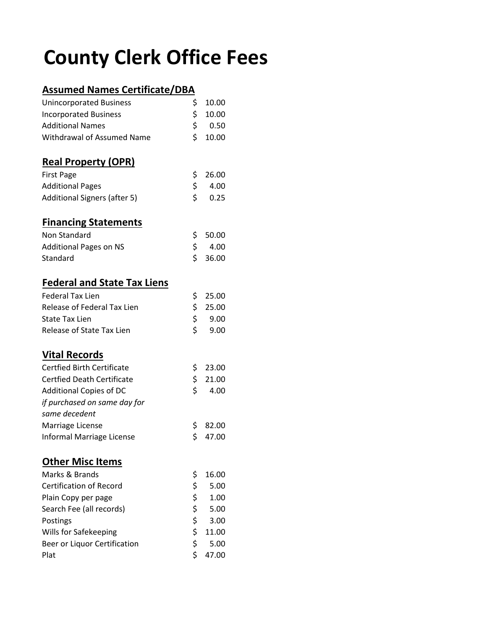## **County Clerk Office Fees**

## **Assumed Names Certificate/DBA**

| <b>Unincorporated Business</b>      | \$       | 10.00 |
|-------------------------------------|----------|-------|
| <b>Incorporated Business</b>        | \$       | 10.00 |
| <b>Additional Names</b>             | \$       | 0.50  |
| <b>Withdrawal of Assumed Name</b>   | \$       | 10.00 |
| <b>Real Property (OPR)</b>          |          |       |
| <b>First Page</b>                   | \$       | 26.00 |
| <b>Additional Pages</b>             | \$       | 4.00  |
| <b>Additional Signers (after 5)</b> | \$       | 0.25  |
| <b>Financing Statements</b>         |          |       |
| Non Standard                        | \$       | 50.00 |
| <b>Additional Pages on NS</b>       | \$       | 4.00  |
| Standard                            | \$       | 36.00 |
| <b>Federal and State Tax Liens</b>  |          |       |
| <b>Federal Tax Lien</b>             | \$       | 25.00 |
| Release of Federal Tax Lien         | \$       | 25.00 |
| <b>State Tax Lien</b>               | \$       | 9.00  |
| Release of State Tax Lien           | \$       | 9.00  |
| <b>Vital Records</b>                |          |       |
| <b>Certfied Birth Certificate</b>   | \$       | 23.00 |
| <b>Certfied Death Certificate</b>   | \$       | 21.00 |
| Additional Copies of DC             | \$       | 4.00  |
| if purchased on same day for        |          |       |
| same decedent                       |          |       |
| Marriage License                    | \$       | 82.00 |
| Informal Marriage License           | \$       | 47.00 |
| <b>Other Misc Items</b>             |          |       |
| Marks & Brands                      | \$       | 16.00 |
| <b>Certification of Record</b>      | \$       | 5.00  |
| Plain Copy per page                 | \$       | 1.00  |
| Search Fee (all records)            |          | 5.00  |
| Postings                            | \$<br>\$ | 3.00  |
| Wills for Safekeeping               | \$       | 11.00 |
| Beer or Liquor Certification        | \$       | 5.00  |
| Plat                                | \$       | 47.00 |